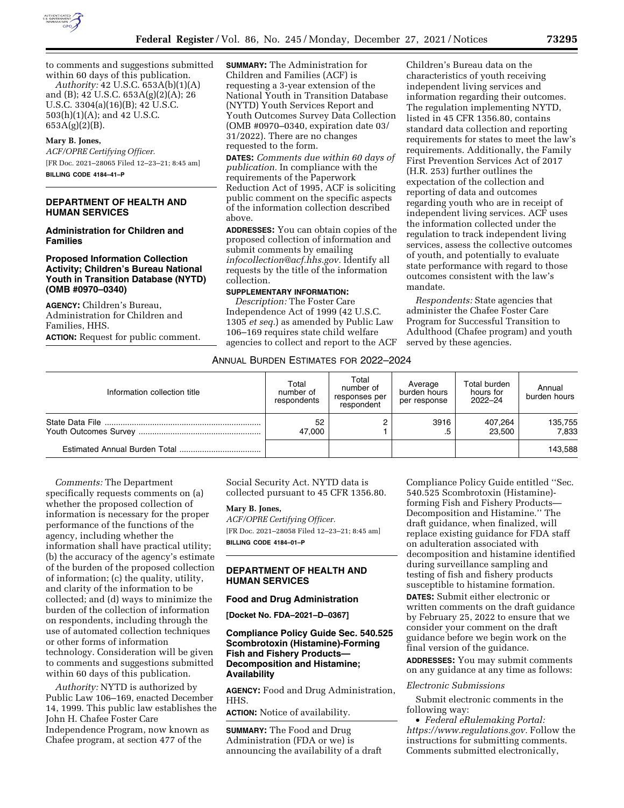

to comments and suggestions submitted within 60 days of this publication. *Authority:* 42 U.S.C. 653A(b)(1)(A)

and (B); 42 U.S.C. 653A(g)(2)(A); 26 U.S.C. 3304(a)(16)(B); 42 U.S.C. 503(h)(1)(A); and 42 U.S.C.  $653A(g)(2)(B)$ .

### **Mary B. Jones,**

*ACF/OPRE Certifying Officer.*  [FR Doc. 2021–28065 Filed 12–23–21; 8:45 am] **BILLING CODE 4184–41–P** 

# **DEPARTMENT OF HEALTH AND HUMAN SERVICES**

#### **Administration for Children and Families**

# **Proposed Information Collection Activity; Children's Bureau National Youth in Transition Database (NYTD) (OMB #0970–0340)**

**AGENCY:** Children's Bureau, Administration for Children and Families, HHS. **ACTION:** Request for public comment. **SUMMARY:** The Administration for Children and Families (ACF) is requesting a 3-year extension of the National Youth in Transition Database (NYTD) Youth Services Report and Youth Outcomes Survey Data Collection (OMB #0970–0340, expiration date 03/ 31/2022). There are no changes requested to the form.

**DATES:** *Comments due within 60 days of publication.* In compliance with the requirements of the Paperwork Reduction Act of 1995, ACF is soliciting public comment on the specific aspects of the information collection described above.

**ADDRESSES:** You can obtain copies of the proposed collection of information and submit comments by emailing *[infocollection@acf.hhs.gov.](mailto:infocollection@acf.hhs.gov)* Identify all requests by the title of the information collection.

# **SUPPLEMENTARY INFORMATION:**

*Description:* The Foster Care Independence Act of 1999 (42 U.S.C. 1305 *et seq.*) as amended by Public Law 106–169 requires state child welfare agencies to collect and report to the ACF

Children's Bureau data on the characteristics of youth receiving independent living services and information regarding their outcomes. The regulation implementing NYTD, listed in 45 CFR 1356.80, contains standard data collection and reporting requirements for states to meet the law's requirements. Additionally, the Family First Prevention Services Act of 2017 (H.R. 253) further outlines the expectation of the collection and reporting of data and outcomes regarding youth who are in receipt of independent living services. ACF uses the information collected under the regulation to track independent living services, assess the collective outcomes of youth, and potentially to evaluate state performance with regard to those outcomes consistent with the law's mandate.

*Respondents:* State agencies that administer the Chafee Foster Care Program for Successful Transition to Adulthood (Chafee program) and youth served by these agencies.

# ANNUAL BURDEN ESTIMATES FOR 2022–2024

| Information collection title | Total<br>number of<br>respondents | Total<br>number of<br>responses per<br>respondent | Average<br>burden hours<br>per response | Total burden<br>hours for<br>2022-24 | Annual<br>burden hours |
|------------------------------|-----------------------------------|---------------------------------------------------|-----------------------------------------|--------------------------------------|------------------------|
|                              | 52<br>47.000                      |                                                   | 3916<br>.5                              | 407,264<br>23,500                    | 135,755<br>7.833       |
|                              |                                   |                                                   |                                         |                                      | 143,588                |

*Comments:* The Department specifically requests comments on (a) whether the proposed collection of information is necessary for the proper performance of the functions of the agency, including whether the information shall have practical utility; (b) the accuracy of the agency's estimate of the burden of the proposed collection of information; (c) the quality, utility, and clarity of the information to be collected; and (d) ways to minimize the burden of the collection of information on respondents, including through the use of automated collection techniques or other forms of information technology. Consideration will be given to comments and suggestions submitted within 60 days of this publication.

*Authority:* NYTD is authorized by Public Law 106–169, enacted December 14, 1999. This public law establishes the John H. Chafee Foster Care Independence Program, now known as Chafee program, at section 477 of the

Social Security Act. NYTD data is collected pursuant to 45 CFR 1356.80.

### **Mary B. Jones,**

*ACF/OPRE Certifying Officer.*  [FR Doc. 2021–28058 Filed 12–23–21; 8:45 am] **BILLING CODE 4184–01–P** 

# **DEPARTMENT OF HEALTH AND HUMAN SERVICES**

### **Food and Drug Administration**

**[Docket No. FDA–2021–D–0367]** 

# **Compliance Policy Guide Sec. 540.525 Scombrotoxin (Histamine)-Forming Fish and Fishery Products— Decomposition and Histamine; Availability**

**AGENCY:** Food and Drug Administration, HHS.

**ACTION:** Notice of availability.

**SUMMARY:** The Food and Drug Administration (FDA or we) is announcing the availability of a draft Compliance Policy Guide entitled ''Sec. 540.525 Scombrotoxin (Histamine) forming Fish and Fishery Products— Decomposition and Histamine.'' The draft guidance, when finalized, will replace existing guidance for FDA staff on adulteration associated with decomposition and histamine identified during surveillance sampling and testing of fish and fishery products susceptible to histamine formation.

**DATES:** Submit either electronic or written comments on the draft guidance by February 25, 2022 to ensure that we consider your comment on the draft guidance before we begin work on the final version of the guidance.

**ADDRESSES:** You may submit comments on any guidance at any time as follows:

#### *Electronic Submissions*

Submit electronic comments in the following way:

• *Federal eRulemaking Portal: [https://www.regulations.gov.](https://www.regulations.gov)* Follow the instructions for submitting comments. Comments submitted electronically,